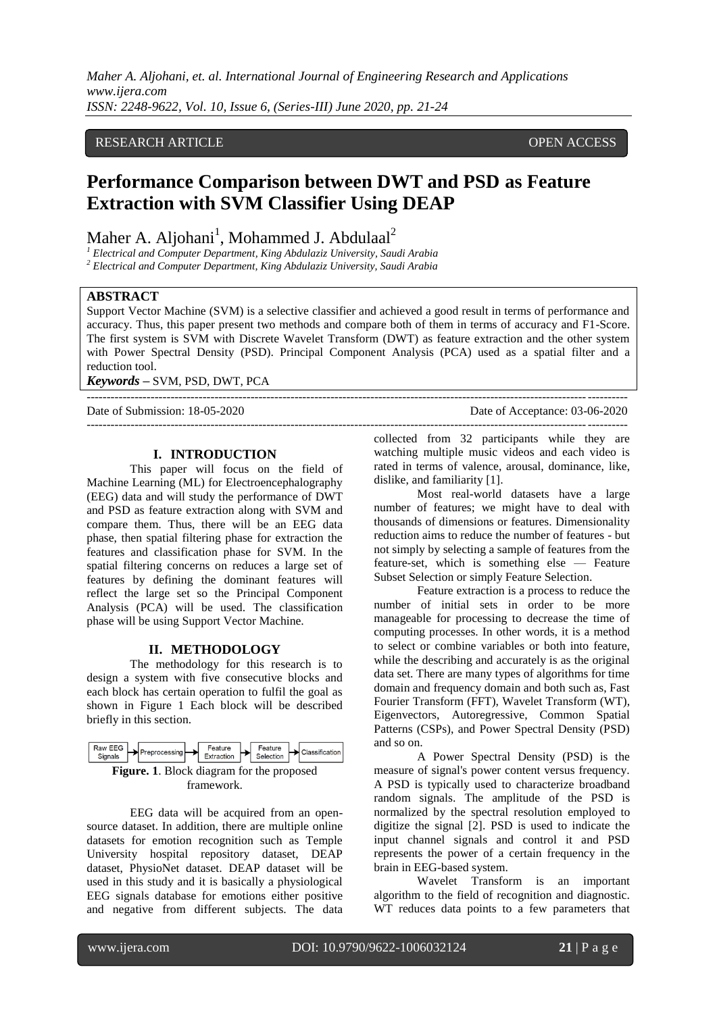*Maher A. Aljohani, et. al. International Journal of Engineering Research and Applications www.ijera.com ISSN: 2248-9622, Vol. 10, Issue 6, (Series-III) June 2020, pp. 21-24*

# RESEARCH ARTICLE **CONSERVERS** OPEN ACCESS

# **Performance Comparison between DWT and PSD as Feature Extraction with SVM Classifier Using DEAP**

Maher A. Aljohani<sup>1</sup>, Mohammed J. Abdulaal<sup>2</sup>

*<sup>1</sup> Electrical and Computer Department, King Abdulaziz University, Saudi Arabia* 

*<sup>2</sup> Electrical and Computer Department, King Abdulaziz University, Saudi Arabia* 

#### **ABSTRACT**

Support Vector Machine (SVM) is a selective classifier and achieved a good result in terms of performance and accuracy. Thus, this paper present two methods and compare both of them in terms of accuracy and F1-Score. The first system is SVM with Discrete Wavelet Transform (DWT) as feature extraction and the other system with Power Spectral Density (PSD). Principal Component Analysis (PCA) used as a spatial filter and a reduction tool.

---------------------------------------------------------------------------------------------------------------------------------------

 $-1\leq i\leq n-1$ 

*Keywords* **–** SVM, PSD, DWT, PCA

Date of Submission: 18-05-2020 Date of Acceptance: 03-06-2020

## **I. INTRODUCTION**

This paper will focus on the field of Machine Learning (ML) for Electroencephalography (EEG) data and will study the performance of DWT and PSD as feature extraction along with SVM and compare them. Thus, there will be an EEG data phase, then spatial filtering phase for extraction the features and classification phase for SVM. In the spatial filtering concerns on reduces a large set of features by defining the dominant features will reflect the large set so the Principal Component Analysis (PCA) will be used. The classification phase will be using Support Vector Machine.

#### **II. METHODOLOGY**

The methodology for this research is to design a system with five consecutive blocks and each block has certain operation to fulfil the goal as shown in Figure 1 Each block will be described briefly in this section.



EEG data will be acquired from an opensource dataset. In addition, there are multiple online datasets for emotion recognition such as Temple University hospital repository dataset, DEAP dataset, PhysioNet dataset. DEAP dataset will be used in this study and it is basically a physiological EEG signals database for emotions either positive and negative from different subjects. The data

collected from 32 participants while they are watching multiple music videos and each video is rated in terms of valence, arousal, dominance, like, dislike, and familiarity [1].

Most real-world datasets have a large number of features; we might have to deal with thousands of dimensions or features. Dimensionality reduction aims to reduce the number of features - but not simply by selecting a sample of features from the feature-set, which is something else — Feature Subset Selection or simply Feature Selection.

Feature extraction is a process to reduce the number of initial sets in order to be more manageable for processing to decrease the time of computing processes. In other words, it is a method to select or combine variables or both into feature, while the describing and accurately is as the original data set. There are many types of algorithms for time domain and frequency domain and both such as, Fast Fourier Transform (FFT), Wavelet Transform (WT), Eigenvectors, Autoregressive, Common Spatial Patterns (CSPs), and Power Spectral Density (PSD) and so on.

A Power Spectral Density (PSD) is the measure of signal's power content versus frequency. A PSD is typically used to characterize broadband random signals. The amplitude of the PSD is normalized by the spectral resolution employed to digitize the signal [2]. PSD is used to indicate the input channel signals and control it and PSD represents the power of a certain frequency in the brain in EEG-based system.

Wavelet Transform is an important algorithm to the field of recognition and diagnostic. WT reduces data points to a few parameters that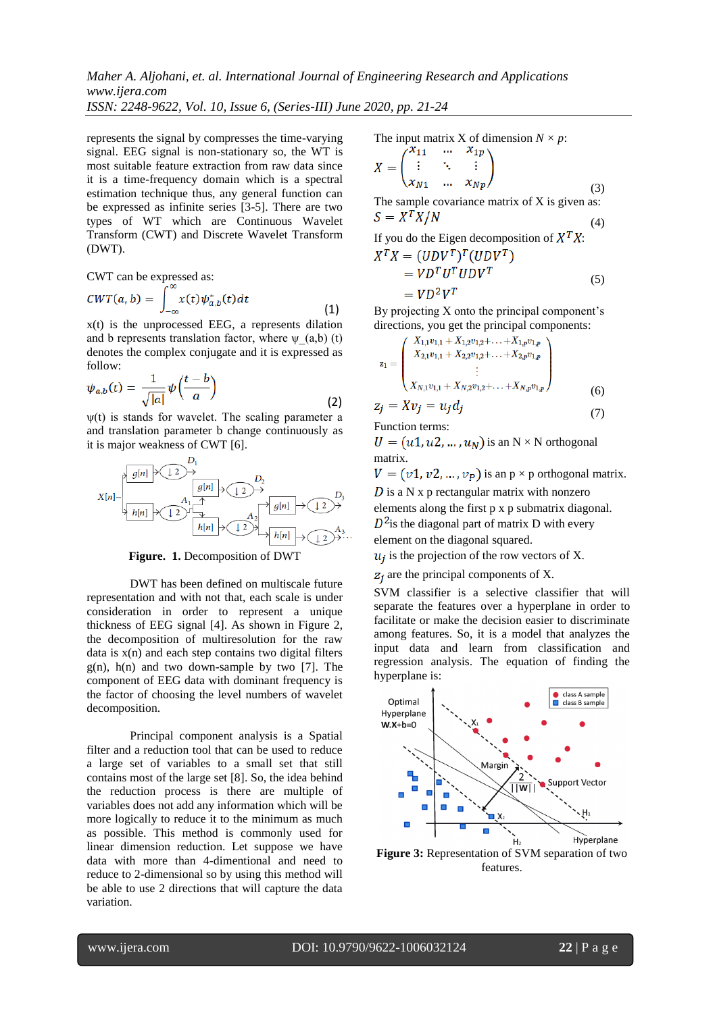*Maher A. Aljohani, et. al. International Journal of Engineering Research and Applications www.ijera.com*

*ISSN: 2248-9622, Vol. 10, Issue 6, (Series-III) June 2020, pp. 21-24*

represents the signal by compresses the time-varying signal. EEG signal is non-stationary so, the WT is most suitable feature extraction from raw data since it is a time-frequency domain which is a spectral estimation technique thus, any general function can be expressed as infinite series [3-5]. There are two types of WT which are Continuous Wavelet Transform (CWT) and Discrete Wavelet Transform (DWT).

CWT can be expressed as:

$$
CWT(a,b) = \int_{-\infty}^{\infty} x(t) \psi_{a,b}^*(t) dt
$$
 (1)

x(t) is the unprocessed EEG, a represents dilation and b represents translation factor, where  $\psi$  (a,b) (t) denotes the complex conjugate and it is expressed as follow:

$$
\psi_{a,b}(t) = \frac{1}{\sqrt{|a|}} \psi\left(\frac{t-b}{a}\right) \tag{2}
$$

 $\psi(t)$  is stands for wavelet. The scaling parameter a and translation parameter b change continuously as it is major weakness of CWT [6].

$$
X[n] \rightarrow \begin{pmatrix} D_1 & D_2 & D_3 \\ \hline g[n] & D_4 & D_2 \\ \hline h[n] & D_3 & D_4 \\ \hline h[n] & D_4 & D_5 \\ \hline h[n] & D_5 & D_6 \\ \hline h[n] & D_6 & D_7 \\ \hline h[n] & D_7 & D_8 \\ \hline h[n] & D_8 & D_9 \\ \hline h[n] & D_9 & D_9 \\ \hline h[n] & D_9 & D_9 \\ \hline h[n] & D_9 & D_9 \\ \hline h[n] & D_9 & D_9 \\ \hline h[n] & D_9 & D_9 \\ \hline h[n] & D_9 & D_9 \\ \hline h[n] & D_9 & D_9 \\ \hline h[n] & D_9 & D_9 \\ \hline h[n] & D_9 & D_9 \\ \hline h[n] & D_9 & D_9 \\ \hline h[n] & D_9 & D_9 \\ \hline h[n] & D_9 & D_9 \\ \hline h[n] & D_9 & D_9 \\ \hline h[n] & D_9 & D_9 \\ \hline h[n] & D_9 & D_9 \\ \hline h[n] & D_9 & D_9 \\ \hline h[n] & D_9 & D_9 \\ \hline h[n] & D_9 & D_9 \\ \hline h[n] & D_9 & D_9 \\ \hline h[n] & D_9 & D_9 \\ \hline h[n] & D_9 & D_9 \\ \hline h[n] & D_9 & D_9 \\ \hline h[n] & D_9 & D_9 \\ \hline h[n] & D_9 & D_9 \\ \hline h[n] & D_9 & D_9 \\ \hline h[n] & D_9 & D_9 \\ \hline h[n] & D_9 & D_9 \\ \hline h[n] & D_9 & D_9 \\ \hline h[n] & D_9 & D_9 \\ \hline h[n] & D_9 & D_9 \\ \hline h[n] & D_9 & D_9 \\ \hline h[n] & D_9 & D_9 \\ \hline h[n] & D_9 & D_9 \\ \hline h[n] & D_9 & D_9 \\ \hline h[n] & D_9 & D_9 \\ \hline h[n] & D_9 & D_9 \\ \hline h[n] & D_9 & D_9 \\ \hline h[n] & D_9 & D_9 \\ \hline h[n] & D_9 & D_9 \\ \hline h[n] & D_9 & D_9 \\ \hline h[n] & D_9 & D_9 \\ \hline h[n] & D_9 & D_9 \\ \
$$

**Figure. 1.** Decomposition of DWT

DWT has been defined on multiscale future representation and with not that, each scale is under consideration in order to represent a unique thickness of EEG signal [4]. As shown in Figure 2, the decomposition of multiresolution for the raw data is  $x(n)$  and each step contains two digital filters  $g(n)$ ,  $h(n)$  and two down-sample by two [7]. The component of EEG data with dominant frequency is the factor of choosing the level numbers of wavelet decomposition.

Principal component analysis is a Spatial filter and a reduction tool that can be used to reduce a large set of variables to a small set that still contains most of the large set [8]. So, the idea behind the reduction process is there are multiple of variables does not add any information which will be more logically to reduce it to the minimum as much as possible. This method is commonly used for linear dimension reduction. Let suppose we have data with more than 4-dimentional and need to reduce to 2-dimensional so by using this method will be able to use 2 directions that will capture the data variation.

The input matrix X of dimension 
$$
N \times p
$$
:

$$
X = \begin{pmatrix} x_{11} & \dots & x_{1p} \\ \vdots & \ddots & \vdots \\ x_{N1} & \dots & x_{Np} \end{pmatrix}
$$
 (3)

The sample covariance matrix of X is given as:  $S = X^T X / N$ (4)

If you do the Eigen decomposition of  $X^T X$ :<br> $Y^T Y - (IINV^T)^T (IINV^T)$ 

$$
A = (ODV) (ODV)
$$
  
=  $VD^T U^T U D V^T$   
=  $VD^2 V^T$  (5)

By projecting X onto the principal component's directions, you get the principal components:

$$
z_{1} = \begin{pmatrix} X_{1,1}v_{1,1} + X_{1,2}v_{1,2} + \dots + X_{1,p}v_{1,p} \\ X_{2,1}v_{1,1} + X_{2,2}v_{1,2} + \dots + X_{2,p}v_{1,p} \\ \vdots \\ X_{N,1}v_{1,1} + X_{N,2}v_{1,2} + \dots + X_{N,p}v_{1,p} \end{pmatrix}
$$
(6)

$$
z_j = Xv_j = u_j d_j \tag{7}
$$

Function terms:

 $U = (u1, u2, ..., u_N)$  is an N × N orthogonal matrix.

 $V = (v1, v2, ..., v_p)$  is an p × p orthogonal matrix.  $\overline{D}$  is a N x p rectangular matrix with nonzero

elements along the first p x p submatrix diagonal.  $D<sup>2</sup>$  is the diagonal part of matrix D with every

element on the diagonal squared.

 $u_i$  is the projection of the row vectors of X.

 $z_i$  are the principal components of X.

SVM classifier is a selective classifier that will separate the features over a hyperplane in order to facilitate or make the decision easier to discriminate among features. So, it is a model that analyzes the input data and learn from classification and regression analysis. The equation of finding the hyperplane is:



**Figure 3:** Representation of SVM separation of two features.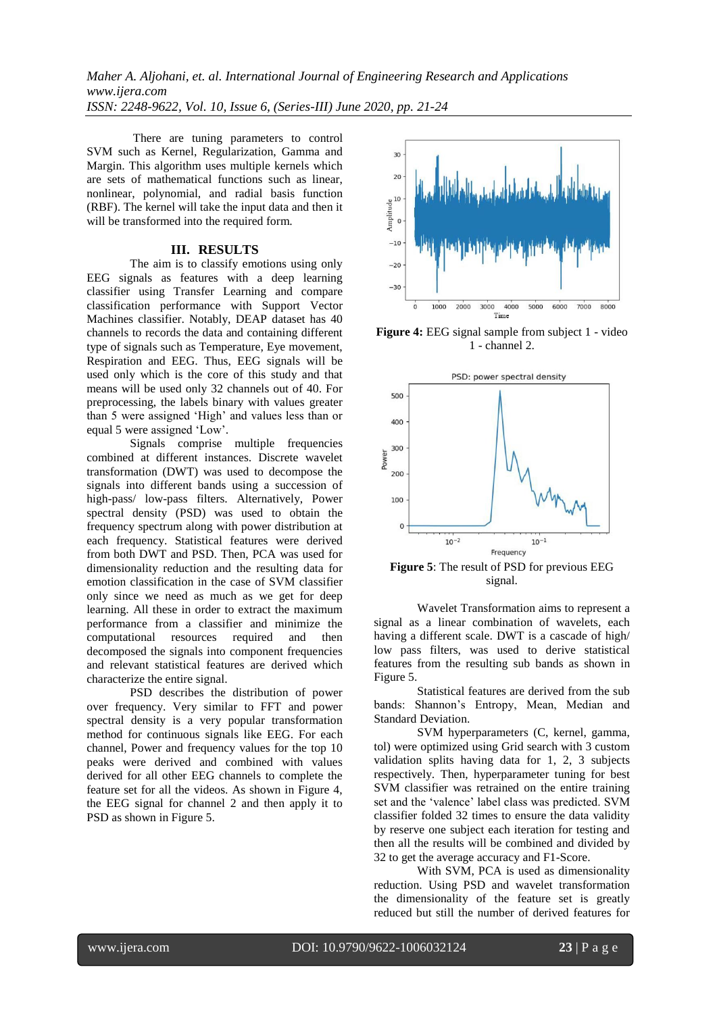There are tuning parameters to control SVM such as Kernel, Regularization, Gamma and Margin. This algorithm uses multiple kernels which are sets of mathematical functions such as linear, nonlinear, polynomial, and radial basis function (RBF). The kernel will take the input data and then it will be transformed into the required form.

## **III. RESULTS**

The aim is to classify emotions using only EEG signals as features with a deep learning classifier using Transfer Learning and compare classification performance with Support Vector Machines classifier. Notably, DEAP dataset has 40 channels to records the data and containing different type of signals such as Temperature, Eye movement, Respiration and EEG. Thus, EEG signals will be used only which is the core of this study and that means will be used only 32 channels out of 40. For preprocessing, the labels binary with values greater than 5 were assigned 'High' and values less than or equal 5 were assigned 'Low'.

Signals comprise multiple frequencies combined at different instances. Discrete wavelet transformation (DWT) was used to decompose the signals into different bands using a succession of high-pass/ low-pass filters. Alternatively, Power spectral density (PSD) was used to obtain the frequency spectrum along with power distribution at each frequency. Statistical features were derived from both DWT and PSD. Then, PCA was used for dimensionality reduction and the resulting data for emotion classification in the case of SVM classifier only since we need as much as we get for deep learning. All these in order to extract the maximum performance from a classifier and minimize the computational resources required and then decomposed the signals into component frequencies and relevant statistical features are derived which characterize the entire signal.

PSD describes the distribution of power over frequency. Very similar to FFT and power spectral density is a very popular transformation method for continuous signals like EEG. For each channel, Power and frequency values for the top 10 peaks were derived and combined with values derived for all other EEG channels to complete the feature set for all the videos. As shown in Figure 4, the EEG signal for channel 2 and then apply it to PSD as shown in Figure 5.



**Figure 4:** EEG signal sample from subject 1 - video 1 - channel 2.



**Figure 5**: The result of PSD for previous EEG signal.

Wavelet Transformation aims to represent a signal as a linear combination of wavelets, each having a different scale. DWT is a cascade of high/ low pass filters, was used to derive statistical features from the resulting sub bands as shown in Figure 5.

Statistical features are derived from the sub bands: Shannon's Entropy, Mean, Median and Standard Deviation.

SVM hyperparameters (C, kernel, gamma, tol) were optimized using Grid search with 3 custom validation splits having data for 1, 2, 3 subjects respectively. Then, hyperparameter tuning for best SVM classifier was retrained on the entire training set and the 'valence' label class was predicted. SVM classifier folded 32 times to ensure the data validity by reserve one subject each iteration for testing and then all the results will be combined and divided by 32 to get the average accuracy and F1-Score.

With SVM, PCA is used as dimensionality reduction. Using PSD and wavelet transformation the dimensionality of the feature set is greatly reduced but still the number of derived features for

www.ijera.com DOI: 10.9790/9622-1006032124 **23** | P a g e